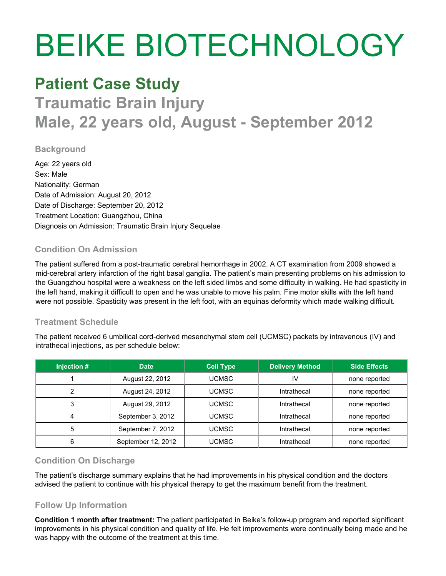# BEIKE BIOTECHNOLOGY

### **Patient Case Study**

## **Traumatic Brain Injury Male, 22 years old, August - September 2012**

#### **Background**

Age: 22 years old Sex: Male Nationality: German Date of Admission: August 20, 2012 Date of Discharge: September 20, 2012 Treatment Location: Guangzhou, China Diagnosis on Admission: Traumatic Brain Injury Sequelae

#### **Condition On Admission**

The patient suffered from a post-traumatic cerebral hemorrhage in 2002. A CT examination from 2009 showed a mid-cerebral artery infarction of the right basal ganglia. The patient's main presenting problems on his admission to the Guangzhou hospital were a weakness on the left sided limbs and some difficulty in walking. He had spasticity in the left hand, making it difficult to open and he was unable to move his palm. Fine motor skills with the left hand were not possible. Spasticity was present in the left foot, with an equinas deformity which made walking difficult.

#### **Treatment Schedule**

The patient received 6 umbilical cord-derived mesenchymal stem cell (UCMSC) packets by intravenous (IV) and intrathecal injections, as per schedule below:

| Injection # | <b>Date</b>        | <b>Cell Type</b> | <b>Delivery Method</b> | <b>Side Effects</b> |
|-------------|--------------------|------------------|------------------------|---------------------|
|             | August 22, 2012    | UCMSC            | I٧                     | none reported       |
|             | August 24, 2012    | UCMSC            | Intrathecal            | none reported       |
| 3           | August 29, 2012    | UCMSC            | Intrathecal            | none reported       |
|             | September 3, 2012  | UCMSC            | Intrathecal            | none reported       |
| 5           | September 7, 2012  | UCMSC            | Intrathecal            | none reported       |
| 6           | September 12, 2012 | <b>UCMSC</b>     | Intrathecal            | none reported       |

#### **Condition On Discharge**

The patient's discharge summary explains that he had improvements in his physical condition and the doctors advised the patient to continue with his physical therapy to get the maximum benefit from the treatment.

#### **Follow Up Information**

**Condition 1 month after treatment:** The patient participated in Beike's follow-up program and reported significant improvements in his physical condition and quality of life. He felt improvements were continually being made and he was happy with the outcome of the treatment at this time.